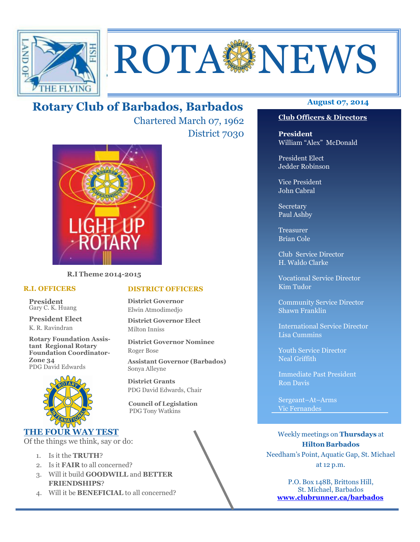

# **ROTA SENEWS**

## **August 07, 2014 Rotary Club of Barbados, Barbados**

Chartered March 07, 1962 District 7030



**R.I Theme 2014-2015** 

#### **R.I. OFFICERS**

**President** Gary C. K. Huang

**President Elect** K. R. Ravindran

**Rotary Foundation Assistant Regional Rotary Foundation Coordinator-Zone 34**  PDG David Edwards



#### **THE FOUR WAY TEST**

Of the things we think, say or do:

- 1. Is it the **TRUTH**?
- 2. Is it **FAIR** to all concerned?
- 3. Will it build **GOODWILL** and **BETTER FRIENDSHIPS**?
- 4. Will it be **BENEFICIAL** to all concerned?

#### **Club Officers & Directors**

**President** William "Alex" McDonald

President Elect Jedder Robinson

Vice President John Cabral

Secretary Paul Ashby

Treasurer Brian Cole

Club Service Director H. Waldo Clarke

Vocational Service Director Kim Tudor

Community Service Director Shawn Franklin

International Service Director Lisa Cummins

Youth Service Director Neal Griffith

Immediate Past President Ron Davis

Sergeant–At–Arms Vic Fernandes

Weekly meetings on **Thursdays** at **Hilton Barbados** Needham's Point, Aquatic Gap, St. Michael at 12 p.m.

P.O. Box 148B, Brittons Hill, St. Michael, Barbados **www.clubrunner.ca/barbados**

#### **DISTRICT OFFICERS**

**District Governor** Elwin Atmodimedjo

**District Governor Elect** Milton Inniss

**District Governor Nominee**  Roger Bose

**Assistant Governor (Barbados)** Sonya Alleyne

**District Grants**  PDG David Edwards, Chair

 **Council of Legislation**  PDG Tony Watkins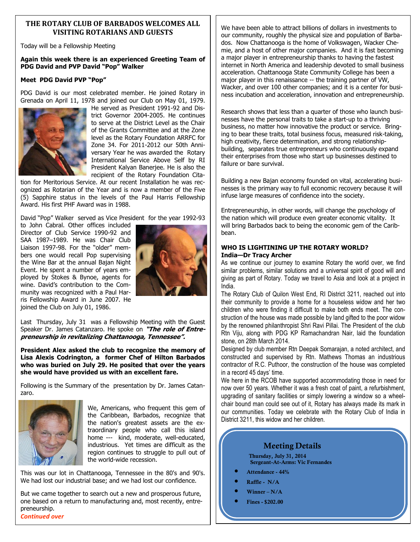#### **THE ROTARY CLUB OF BARBADOS WELCOMES ALL VISITING ROTARIANS AND GUESTS**

Today will be a Fellowship Meeting

#### **Again this week there is an experienced Greeting Team of PDG David and PVP David "Pop" Walker**

#### **Meet PDG David PVP "Pop"**

PDG David is our most celebrated member. He joined Rotary in Grenada on April 11, 1978 and joined our Club on May 01, 1979.



He served as President 1991-92 and District Governor 2004-2005. He continues to serve at the District Level as the Chair of the Grants Committee and at the Zone level as the Rotary Foundation ARRFC for Zone 34. For 2011-2012 our 50th Anniversary Year he was awarded the Rotary International Service Above Self by RI President Kalyan Banerjee. He is also the recipient of the Rotary Foundation Cita-

tion for Meritorious Service. At our recent Installation he was recognized as Rotarian of the Year and is now a member of the Five (5) Sapphire status in the levels of the Paul Harris Fellowship Award. His first PHF Award was in 1988.

David "Pop" Walker served as Vice President for the year 1992-93

to John Cabral. Other offices included Director of Club Service 1990-92 and SAA 1987–1989. He was Chair Club Liaison 1997-98. For the "older" members one would recall Pop supervising the Wine Bar at the annual Bajan Night Event. He spent a number of years employed by Stokes & Bynoe, agents for wine. David's contribution to the Community was recognized with a Paul Harris Fellowship Award in June 2007. He joined the Club on July 01, 1986.



Last Thursday, July 31 was a Fellowship Meeting with the Guest Speaker Dr. James Catanzaro. He spoke on **"The role of Entrepreneurship in revitalizing Chattanooga, Tennessee".** 

**President Alex asked the club to recognize the memory of Lisa Alexis Codrington, a former Chef of Hilton Barbados who was buried on July 29. He posited that over the years she would have provided us with an excellent fare.** 

Following is the Summary of the presentation by Dr. James Catanzaro.



We, Americans, who frequent this gem of the Caribbean, Barbados, recognize that the nation's greatest assets are the extraordinary people who call this island home --- kind, moderate, well-educated, industrious. Yet times are difficult as the region continues to struggle to pull out of the world-wide recession.

This was our lot in Chattanooga, Tennessee in the 80's and 90's. We had lost our industrial base; and we had lost our confidence.

But we came together to search out a new and prosperous future, one based on a return to manufacturing and, most recently, entrepreneurship. *Continued over* 

We have been able to attract billions of dollars in investments to our community, roughly the physical size and population of Barbados. Now Chattanooga is the home of Volkswagen, Wacker Chemie, and a host of other major companies. And it is fast becoming a major player in entrepreneurship thanks to having the fastest internet in North America and leadership devoted to small business acceleration. Chattanooga State Community College has been a major player in this renaissance -- the training partner of VW, Wacker, and over 100 other companies; and it is a center for business incubation and acceleration, innovation and entrepreneurship.

Research shows that less than a quarter of those who launch businesses have the personal traits to take a start-up to a thriving business, no matter how innovative the product or service. Bringing to bear these traits, total business focus, measured risk-taking, high creativity, fierce determination, and strong relationshipbuilding, separates true entrepreneurs who continuously expand their enterprises from those who start up businesses destined to failure or bare survival.

Building a new Bajan economy founded on vital, accelerating businesses is the primary way to full economic recovery because it will infuse large measures of confidence into the society.

Entrepreneurship, in other words, will change the psychology of the nation which will produce even greater economic vitality. It will bring Barbados back to being the economic gem of the Caribbean.

#### **WHO IS LIGHTINING UP THE ROTARY WORLD? India—Dr Tracy Archer**

As we continue our journey to examine Rotary the world over, we find similar problems, similar solutions and a universal spirit of good will and giving as part of Rotary. Today we travel to Asia and look at a project in India.

The Rotary Club of Quilon West End, RI District 3211, reached out into their community to provide a home for a houseless widow and her two children who were finding it difficult to make both ends meet. The construction of the house was made possible by land gifted to the poor widow by the renowned philanthropist Shri Ravi Pillai. The President of the club Rtn Viju, along with PDG KP Ramachandran Nair, laid the foundation stone, on 28th March 2014.

Designed by club member Rtn Deepak Somarajan, a noted architect, and constructed and supervised by Rtn. Mathews Thomas an industrious contractor of R.C. Puthoor, the construction of the house was completed in a record 45 days' time.

We here in the RCOB have supported accommodating those in need for now over 50 years. Whether it was a fresh coat of paint, a refurbishment, upgrading of sanitary facilities or simply lowering a window so a wheelchair bound man could see out of it, Rotary has always made its mark in our communities. Today we celebrate with the Rotary Club of India in District 3211, this widow and her children.

### **Meeting Details**

**Thursday, July 31, 2014 Sergeant-At-Arms: Vic Fernandes** 

- **Attendance 44%**
- **Raffle N/A**
- **Winner N/A**
- **Fines \$202.00**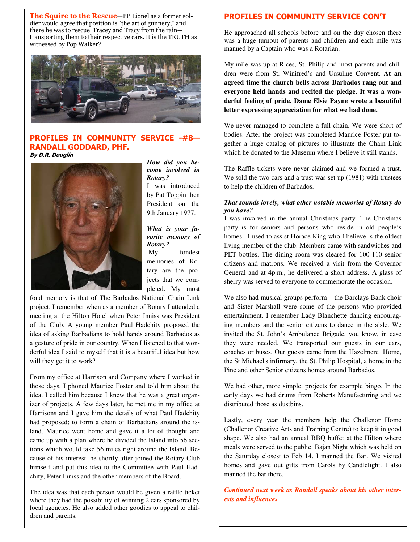**The Squire to the Rescue**—PP Lionel as a former soldier would agree that position is "the art of gunnery," and there he was to rescue Tracey and Tracy from the rain transporting them to their respective cars. It is the TRUTH as witnessed by Pop Walker?



#### **PROFILES IN COMMUNITY SERVICE -#8— RANDALL GODDARD, PHF. By D.R. Douglin**



*How did you become involved in Rotary?*  I was introduced by Pat Toppin then President on the 9th January 1977.

#### *What is your favorite memory of Rotary?*

 My fondest memories of Rotary are the projects that we completed. My most

fond memory is that of The Barbados National Chain Link project. I remember when as a member of Rotary I attended a meeting at the Hilton Hotel when Peter Inniss was President of the Club. A young member Paul Hadchity proposed the idea of asking Barbadians to hold hands around Barbados as a gesture of pride in our country. When I listened to that wonderful idea I said to myself that it is a beautiful idea but how will they get it to work?

From my office at Harrison and Company where I worked in those days, I phoned Maurice Foster and told him about the idea. I called him because I knew that he was a great organizer of projects. A few days later, he met me in my office at Harrisons and I gave him the details of what Paul Hadchity had proposed; to form a chain of Barbadians around the island. Maurice went home and gave it a lot of thought and came up with a plan where he divided the Island into 56 sections which would take 56 miles right around the Island. Because of his interest, he shortly after joined the Rotary Club himself and put this idea to the Committee with Paul Hadchity, Peter Inniss and the other members of the Board.

The idea was that each person would be given a raffle ticket where they had the possibility of winning 2 cars sponsored by local agencies. He also added other goodies to appeal to children and parents.

#### **PROFILES IN COMMUNITY SERVICE CON'T**

He approached all schools before and on the day chosen there was a huge turnout of parents and children and each mile was manned by a Captain who was a Rotarian.

My mile was up at Rices, St. Philip and most parents and children were from St. Winifred's and Ursuline Convent. **At an agreed time the church bells across Barbados rang out and everyone held hands and recited the pledge. It was a wonderful feeling of pride. Dame Elsie Payne wrote a beautiful letter expressing appreciation for what we had done.** 

We never managed to complete a full chain. We were short of bodies. After the project was completed Maurice Foster put together a huge catalog of pictures to illustrate the Chain Link which he donated to the Museum where I believe it still stands.

The Raffle tickets were never claimed and we formed a trust. We sold the two cars and a trust was set up (1981) with trustees to help the children of Barbados.

#### *That sounds lovely, what other notable memories of Rotary do you have?*

I was involved in the annual Christmas party. The Christmas party is for seniors and persons who reside in old people's homes. I used to assist Horace King who I believe is the oldest living member of the club. Members came with sandwiches and PET bottles. The dining room was cleared for 100-110 senior citizens and matrons. We received a visit from the Governor General and at 4p.m., he delivered a short address. A glass of sherry was served to everyone to commemorate the occasion.

We also had musical groups perform – the Barclays Bank choir and Sister Marshall were some of the persons who provided entertainment. I remember Lady Blanchette dancing encouraging members and the senior citizens to dance in the aisle. We invited the St. John's Ambulance Brigade, you know, in case they were needed. We transported our guests in our cars, coaches or buses. Our guests came from the Hazelmere Home, the St Michael's infirmary, the St. Philip Hospital, a home in the Pine and other Senior citizens homes around Barbados.

We had other, more simple, projects for example bingo. In the early days we had drums from Roberts Manufacturing and we distributed those as dustbins.

Lastly, every year the members help the Challenor Home (Challenor Creative Arts and Training Centre) to keep it in good shape. We also had an annual BBQ buffet at the Hilton where meals were served to the public. Bajan Night which was held on the Saturday closest to Feb 14. I manned the Bar. We visited homes and gave out gifts from Carols by Candlelight. I also manned the bar there.

*Continued next week as Randall speaks about his other interests and influences*